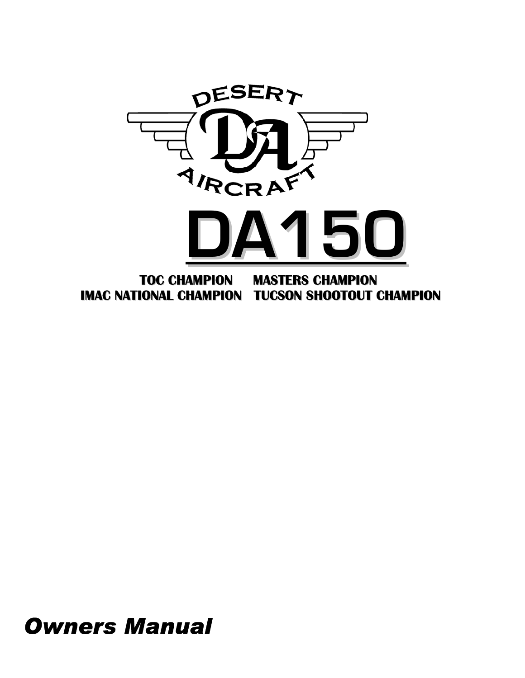

## *Owners Manual*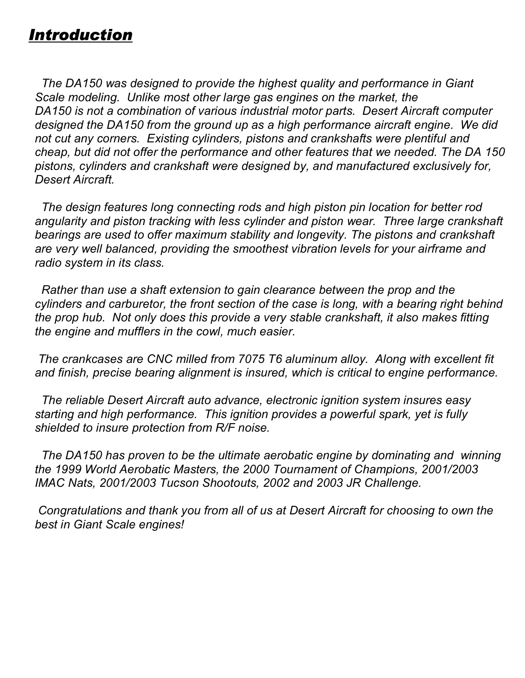### *Introduction*

 *The DA150 was designed to provide the highest quality and performance in Giant Scale modeling. Unlike most other large gas engines on the market, the DA150 is not a combination of various industrial motor parts. Desert Aircraft computer designed the DA150 from the ground up as a high performance aircraft engine. We did not cut any corners. Existing cylinders, pistons and crankshafts were plentiful and cheap, but did not offer the performance and other features that we needed. The DA 150 pistons, cylinders and crankshaft were designed by, and manufactured exclusively for, Desert Aircraft.* 

 *The design features long connecting rods and high piston pin location for better rod angularity and piston tracking with less cylinder and piston wear. Three large crankshaft bearings are used to offer maximum stability and longevity. The pistons and crankshaft are very well balanced, providing the smoothest vibration levels for your airframe and radio system in its class.* 

 *Rather than use a shaft extension to gain clearance between the prop and the cylinders and carburetor, the front section of the case is long, with a bearing right behind the prop hub. Not only does this provide a very stable crankshaft, it also makes fitting the engine and mufflers in the cowl, much easier.* 

 *The crankcases are CNC milled from 7075 T6 aluminum alloy. Along with excellent fit and finish, precise bearing alignment is insured, which is critical to engine performance.* 

 *The reliable Desert Aircraft auto advance, electronic ignition system insures easy starting and high performance. This ignition provides a powerful spark, yet is fully shielded to insure protection from R/F noise.* 

 *The DA150 has proven to be the ultimate aerobatic engine by dominating and winning the 1999 World Aerobatic Masters, the 2000 Tournament of Champions, 2001/2003 IMAC Nats, 2001/2003 Tucson Shootouts, 2002 and 2003 JR Challenge.* 

 *Congratulations and thank you from all of us at Desert Aircraft for choosing to own the best in Giant Scale engines!*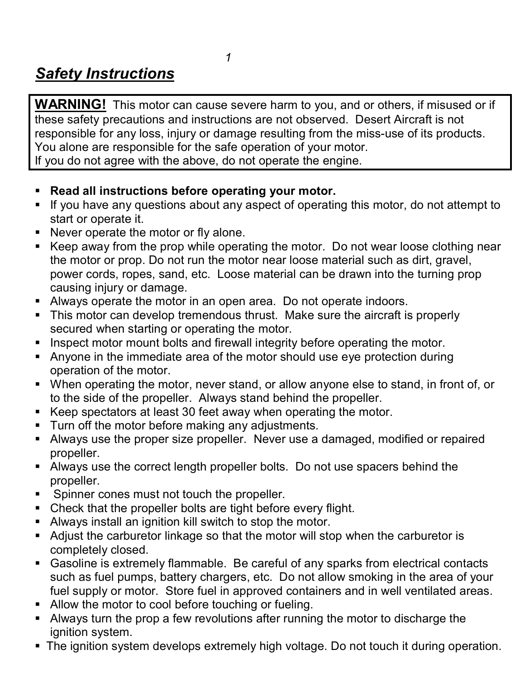### *1 Safety Instructions*

**WARNING!** This motor can cause severe harm to you, and or others, if misused or if these safety precautions and instructions are not observed. Desert Aircraft is not responsible for any loss, injury or damage resulting from the miss-use of its products. You alone are responsible for the safe operation of your motor. If you do not agree with the above, do not operate the engine.

- ! **Read all instructions before operating your motor.**
- ! If you have any questions about any aspect of operating this motor, do not attempt to start or operate it.
- ! Never operate the motor or fly alone.
- ! Keep away from the prop while operating the motor. Do not wear loose clothing near the motor or prop. Do not run the motor near loose material such as dirt, gravel, power cords, ropes, sand, etc. Loose material can be drawn into the turning prop causing injury or damage.
- ! Always operate the motor in an open area. Do not operate indoors.
- This motor can develop tremendous thrust. Make sure the aircraft is properly secured when starting or operating the motor.
- **Inspect motor mount bolts and firewall integrity before operating the motor.**
- ! Anyone in the immediate area of the motor should use eye protection during operation of the motor.
- ! When operating the motor, never stand, or allow anyone else to stand, in front of, or to the side of the propeller. Always stand behind the propeller.
- ! Keep spectators at least 30 feet away when operating the motor.
- **Turn off the motor before making any adjustments.**
- ! Always use the proper size propeller. Never use a damaged, modified or repaired propeller.
- ! Always use the correct length propeller bolts. Do not use spacers behind the propeller.
- **EXECT:** Spinner cones must not touch the propeller.
- Check that the propeller bolts are tight before every flight.
- ! Always install an ignition kill switch to stop the motor.
- ! Adjust the carburetor linkage so that the motor will stop when the carburetor is completely closed.
- ! Gasoline is extremely flammable. Be careful of any sparks from electrical contacts such as fuel pumps, battery chargers, etc. Do not allow smoking in the area of your fuel supply or motor. Store fuel in approved containers and in well ventilated areas.
- **EXECUTE:** Allow the motor to cool before touching or fueling.
- ! Always turn the prop a few revolutions after running the motor to discharge the ignition system.
- . The ignition system develops extremely high voltage. Do not touch it during operation.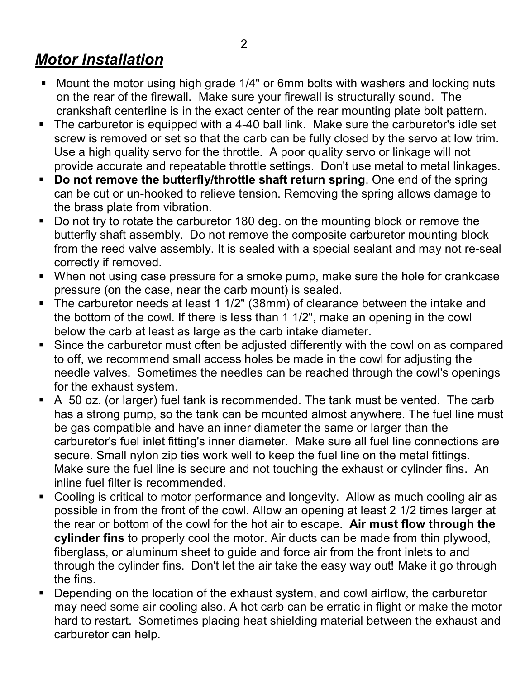#### 2

### *Motor Installation*

- ! Mount the motor using high grade 1/4" or 6mm bolts with washers and locking nuts on the rear of the firewall. Make sure your firewall is structurally sound. The crankshaft centerline is in the exact center of the rear mounting plate bolt pattern.
- The carburetor is equipped with a 4-40 ball link. Make sure the carburetor's idle set screw is removed or set so that the carb can be fully closed by the servo at low trim. Use a high quality servo for the throttle. A poor quality servo or linkage will not provide accurate and repeatable throttle settings. Don't use metal to metal linkages.
- ! **Do not remove the butterfly/throttle shaft return spring**. One end of the spring can be cut or un-hooked to relieve tension. Removing the spring allows damage to the brass plate from vibration.
- ! Do not try to rotate the carburetor 180 deg. on the mounting block or remove the butterfly shaft assembly. Do not remove the composite carburetor mounting block from the reed valve assembly. It is sealed with a special sealant and may not re-seal correctly if removed.
- ! When not using case pressure for a smoke pump, make sure the hole for crankcase pressure (on the case, near the carb mount) is sealed.
- ! The carburetor needs at least 1 1/2" (38mm) of clearance between the intake and the bottom of the cowl. If there is less than 1 1/2", make an opening in the cowl below the carb at least as large as the carb intake diameter.
- ! Since the carburetor must often be adjusted differently with the cowl on as compared to off, we recommend small access holes be made in the cowl for adjusting the needle valves. Sometimes the needles can be reached through the cowl's openings for the exhaust system.
- ! A 50 oz. (or larger) fuel tank is recommended. The tank must be vented. The carb has a strong pump, so the tank can be mounted almost anywhere. The fuel line must be gas compatible and have an inner diameter the same or larger than the carburetor's fuel inlet fitting's inner diameter. Make sure all fuel line connections are secure. Small nylon zip ties work well to keep the fuel line on the metal fittings. Make sure the fuel line is secure and not touching the exhaust or cylinder fins. An inline fuel filter is recommended.
- Cooling is critical to motor performance and longevity. Allow as much cooling air as possible in from the front of the cowl. Allow an opening at least 2 1/2 times larger at the rear or bottom of the cowl for the hot air to escape. **Air must flow through the cylinder fins** to properly cool the motor. Air ducts can be made from thin plywood, fiberglass, or aluminum sheet to guide and force air from the front inlets to and through the cylinder fins. Don't let the air take the easy way out! Make it go through the fins.
- ! Depending on the location of the exhaust system, and cowl airflow, the carburetor may need some air cooling also. A hot carb can be erratic in flight or make the motor hard to restart. Sometimes placing heat shielding material between the exhaust and carburetor can help.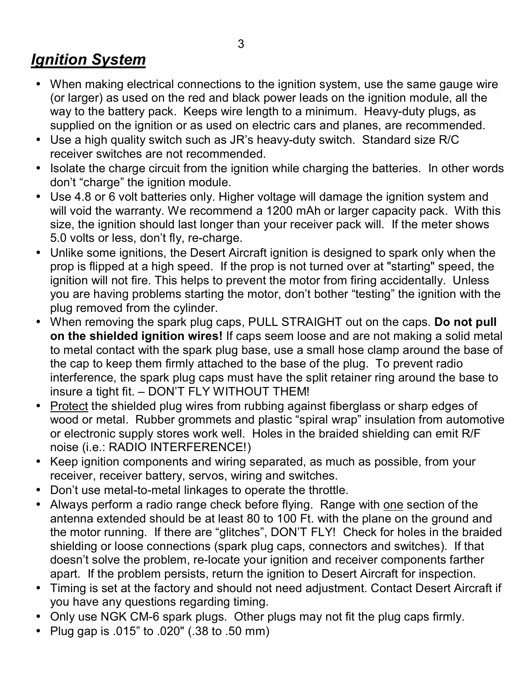#### $\sim$  3 *Ignition System*

- When making electrical connections to the ignition system, use the same gauge wire (or larger) as used on the red and black power leads on the ignition module, all the way to the battery pack. Keeps wire length to a minimum. Heavy-duty plugs, as supplied on the ignition or as used on electric cars and planes, are recommended.
- Use a high quality switch such as JR's heavy-duty switch. Standard size R/C receiver switches are not recommended.
- Isolate the charge circuit from the ignition while charging the batteries. In other words don't "charge" the ignition module.
- Use 4.8 or 6 volt batteries only. Higher voltage will damage the ignition system and will void the warranty. We recommend a 1200 mAh or larger capacity pack. With this size, the ignition should last longer than your receiver pack will. If the meter shows 5.0 volts or less, don't fly, re-charge.
- Unlike some ignitions, the Desert Aircraft ignition is designed to spark only when the prop is flipped at a high speed. If the prop is not turned over at "starting" speed, the ignition will not fire. This helps to prevent the motor from firing accidentally. Unless you are having problems starting the motor, don't bother "testing" the ignition with the plug removed from the cylinder.
- When removing the spark plug caps, PULL STRAIGHT out on the caps. **Do not pull on the shielded ignition wires!** If caps seem loose and are not making a solid metal to metal contact with the spark plug base, use a small hose clamp around the base of the cap to keep them firmly attached to the base of the plug. To prevent radio interference, the spark plug caps must have the split retainer ring around the base to insure a tight fit. - DON'T FLY WITHOUT THEM!
- Protect the shielded plug wires from rubbing against fiberglass or sharp edges of wood or metal. Rubber grommets and plastic "spiral wrap" insulation from automotive or electronic supply stores work well. Holes in the braided shielding can emit R/F noise (i.e.: RADIO INTERFERENCE!)
- Keep ignition components and wiring separated, as much as possible, from your receiver, receiver battery, servos, wiring and switches.
- Donít use metal-to-metal linkages to operate the throttle.
- Always perform a radio range check before flying. Range with one section of the antenna extended should be at least 80 to 100 Ft. with the plane on the ground and the motor running. If there are "glitches", DON'T FLY! Check for holes in the braided shielding or loose connections (spark plug caps, connectors and switches). If that doesn't solve the problem, re-locate your ignition and receiver components farther apart. If the problem persists, return the ignition to Desert Aircraft for inspection.
- Timing is set at the factory and should not need adjustment. Contact Desert Aircraft if you have any questions regarding timing.
- Only use NGK CM-6 spark plugs. Other plugs may not fit the plug caps firmly.
- Plug gap is .015î to .020" (.38 to .50 mm)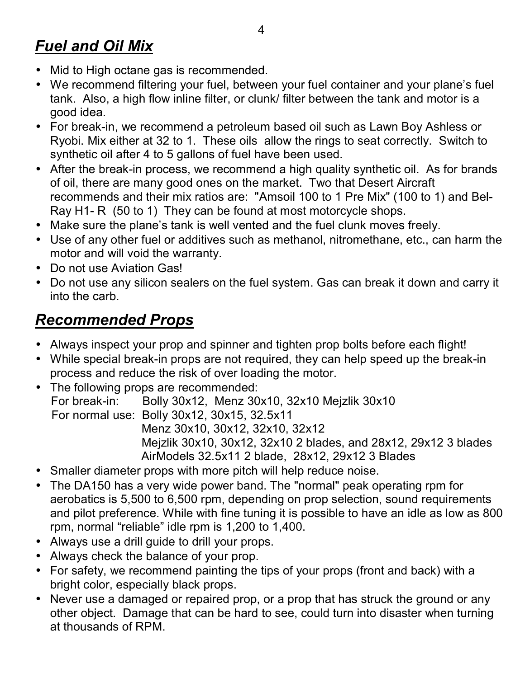#### 4 *Fuel and Oil Mix*

- Mid to High octane gas is recommended.
- We recommend filtering your fuel, between your fuel container and your plane's fuel tank. Also, a high flow inline filter, or clunk/ filter between the tank and motor is a good idea.
- For break-in, we recommend a petroleum based oil such as Lawn Boy Ashless or Ryobi. Mix either at 32 to 1. These oils allow the rings to seat correctly. Switch to synthetic oil after 4 to 5 gallons of fuel have been used.
- After the break-in process, we recommend a high quality synthetic oil. As for brands of oil, there are many good ones on the market. Two that Desert Aircraft recommends and their mix ratios are: "Amsoil 100 to 1 Pre Mix" (100 to 1) and Bel-Ray H1- R (50 to 1) They can be found at most motorcycle shops.
- Make sure the plane's tank is well vented and the fuel clunk moves freely.
- Use of any other fuel or additives such as methanol, nitromethane, etc., can harm the motor and will void the warranty.
- Do not use Aviation Gas!
- Do not use any silicon sealers on the fuel system. Gas can break it down and carry it into the carb.

### *Recommended Props*

- Always inspect your prop and spinner and tighten prop bolts before each flight!
- While special break-in props are not required, they can help speed up the break-in process and reduce the risk of over loading the motor.
- The following props are recommended: For break-in: Bolly 30x12, Menz 30x10, 32x10 Mejzlik 30x10 For normal use: Bolly 30x12, 30x15, 32.5x11 Menz 30x10, 30x12, 32x10, 32x12 Mejzlik 30x10, 30x12, 32x10 2 blades, and 28x12, 29x12 3 blades AirModels 32.5x11 2 blade, 28x12, 29x12 3 Blades
- Smaller diameter props with more pitch will help reduce noise.
- The DA150 has a very wide power band. The "normal" peak operating rpm for aerobatics is 5,500 to 6,500 rpm, depending on prop selection, sound requirements and pilot preference. While with fine tuning it is possible to have an idle as low as 800 rpm, normal "reliable" idle rpm is  $1,200$  to  $1,400$ .
- Always use a drill guide to drill your props.
- Always check the balance of your prop.
- For safety, we recommend painting the tips of your props (front and back) with a bright color, especially black props.
- Never use a damaged or repaired prop, or a prop that has struck the ground or any other object. Damage that can be hard to see, could turn into disaster when turning at thousands of RPM.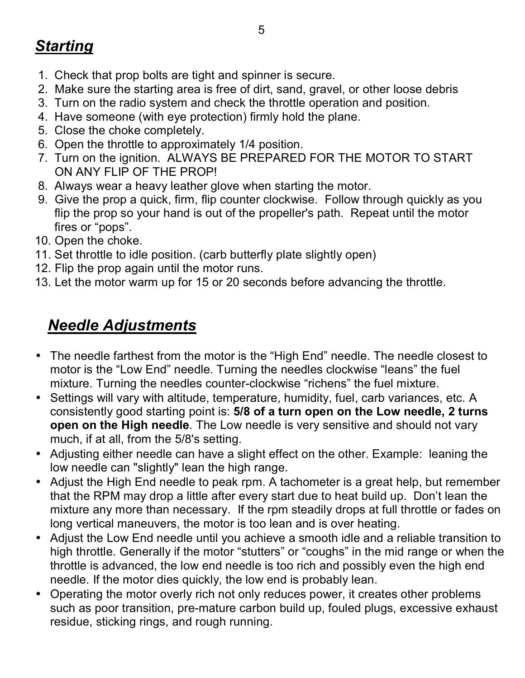## *Starting*

- 1. Check that prop bolts are tight and spinner is secure.
- 2. Make sure the starting area is free of dirt, sand, gravel, or other loose debris
- 3. Turn on the radio system and check the throttle operation and position.
- 4. Have someone (with eye protection) firmly hold the plane.
- 5. Close the choke completely.
- 6. Open the throttle to approximately 1/4 position.
- 7. Turn on the ignition. ALWAYS BE PREPARED FOR THE MOTOR TO START ON ANY FLIP OF THE PROP!
- 8. Always wear a heavy leather glove when starting the motor.
- 9. Give the prop a quick, firm, flip counter clockwise. Follow through quickly as you flip the prop so your hand is out of the propeller's path. Repeat until the motor fires or "pops".
- 10. Open the choke.
- 11. Set throttle to idle position. (carb butterfly plate slightly open)
- 12. Flip the prop again until the motor runs.
- 13. Let the motor warm up for 15 or 20 seconds before advancing the throttle.

### *Needle Adjustments*

- The needle farthest from the motor is the "High End" needle. The needle closest to motor is the "Low End" needle. Turning the needles clockwise "leans" the fuel mixture. Turning the needles counter-clockwise "richens" the fuel mixture.
- Settings will vary with altitude, temperature, humidity, fuel, carb variances, etc. A consistently good starting point is: **5/8 of a turn open on the Low needle, 2 turns open on the High needle**. The Low needle is very sensitive and should not vary much, if at all, from the 5/8's setting.
- Adjusting either needle can have a slight effect on the other. Example: leaning the low needle can "slightly" lean the high range.
- Adjust the High End needle to peak rpm. A tachometer is a great help, but remember that the RPM may drop a little after every start due to heat build up. Don't lean the mixture any more than necessary. If the rpm steadily drops at full throttle or fades on long vertical maneuvers, the motor is too lean and is over heating.
- Adjust the Low End needle until you achieve a smooth idle and a reliable transition to high throttle. Generally if the motor "stutters" or "coughs" in the mid range or when the throttle is advanced, the low end needle is too rich and possibly even the high end needle. If the motor dies quickly, the low end is probably lean.
- Operating the motor overly rich not only reduces power, it creates other problems such as poor transition, pre-mature carbon build up, fouled plugs, excessive exhaust residue, sticking rings, and rough running.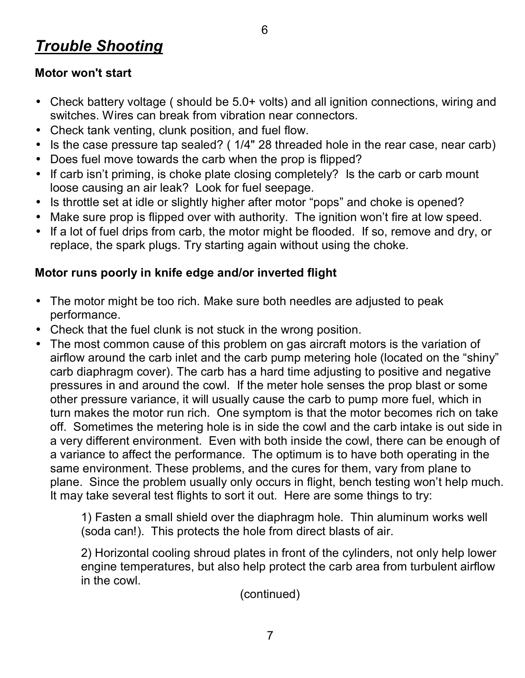### *Trouble Shooting*

#### **Motor won't start**

- Check battery voltage (should be 5.0+ volts) and all ignition connections, wiring and switches. Wires can break from vibration near connectors.
- Check tank venting, clunk position, and fuel flow.
- Is the case pressure tap sealed? ( 1/4" 28 threaded hole in the rear case, near carb)
- Does fuel move towards the carb when the prop is flipped?
- If carb isn't priming, is choke plate closing completely? Is the carb or carb mount loose causing an air leak? Look for fuel seepage.
- Is throttle set at idle or slightly higher after motor "pops" and choke is opened?
- Make sure prop is flipped over with authority. The ignition won't fire at low speed.
- If a lot of fuel drips from carb, the motor might be flooded. If so, remove and dry, or replace, the spark plugs. Try starting again without using the choke.

#### **Motor runs poorly in knife edge and/or inverted flight**

- The motor might be too rich. Make sure both needles are adjusted to peak performance.
- Check that the fuel clunk is not stuck in the wrong position.
- The most common cause of this problem on gas aircraft motors is the variation of airflow around the carb inlet and the carb pump metering hole (located on the "shiny" carb diaphragm cover). The carb has a hard time adjusting to positive and negative pressures in and around the cowl. If the meter hole senses the prop blast or some other pressure variance, it will usually cause the carb to pump more fuel, which in turn makes the motor run rich. One symptom is that the motor becomes rich on take off. Sometimes the metering hole is in side the cowl and the carb intake is out side in a very different environment. Even with both inside the cowl, there can be enough of a variance to affect the performance. The optimum is to have both operating in the same environment. These problems, and the cures for them, vary from plane to plane. Since the problem usually only occurs in flight, bench testing won't help much. It may take several test flights to sort it out. Here are some things to try:

1) Fasten a small shield over the diaphragm hole. Thin aluminum works well (soda can!). This protects the hole from direct blasts of air.

2) Horizontal cooling shroud plates in front of the cylinders, not only help lower engine temperatures, but also help protect the carb area from turbulent airflow in the cowl.

(continued)